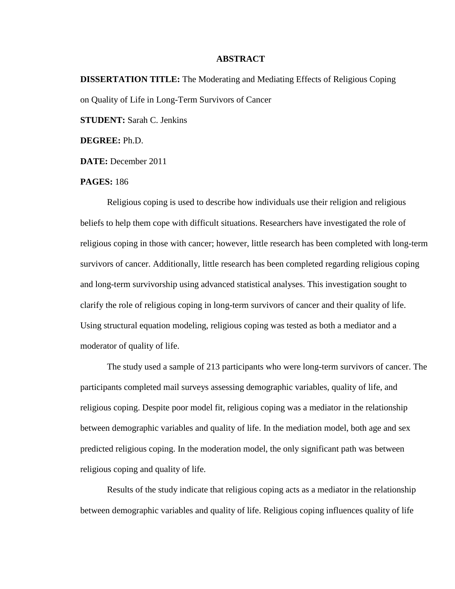## **ABSTRACT**

**DISSERTATION TITLE:** The Moderating and Mediating Effects of Religious Coping on Quality of Life in Long-Term Survivors of Cancer **STUDENT:** Sarah C. Jenkins **DEGREE:** Ph.D.

**DATE:** December 2011

## **PAGES:** 186

Religious coping is used to describe how individuals use their religion and religious beliefs to help them cope with difficult situations. Researchers have investigated the role of religious coping in those with cancer; however, little research has been completed with long-term survivors of cancer. Additionally, little research has been completed regarding religious coping and long-term survivorship using advanced statistical analyses. This investigation sought to clarify the role of religious coping in long-term survivors of cancer and their quality of life. Using structural equation modeling, religious coping was tested as both a mediator and a moderator of quality of life.

The study used a sample of 213 participants who were long-term survivors of cancer. The participants completed mail surveys assessing demographic variables, quality of life, and religious coping. Despite poor model fit, religious coping was a mediator in the relationship between demographic variables and quality of life. In the mediation model, both age and sex predicted religious coping. In the moderation model, the only significant path was between religious coping and quality of life.

Results of the study indicate that religious coping acts as a mediator in the relationship between demographic variables and quality of life. Religious coping influences quality of life